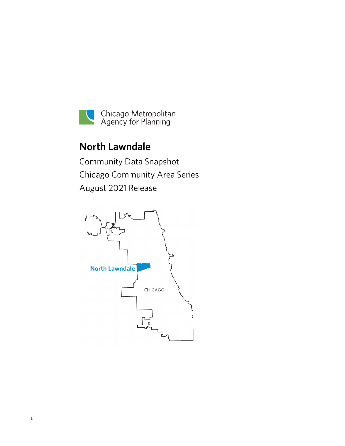

# **North Lawndale**

Community Data Snapshot Chicago Community Area Series August 2021 Release

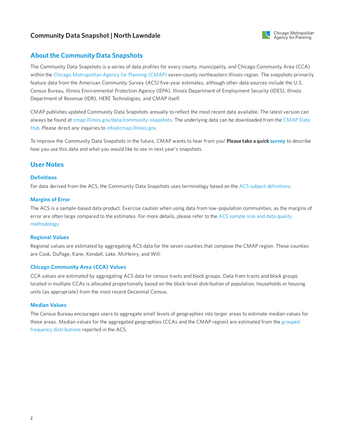

### **About the Community Data Snapshots**

The Community Data Snapshots is a series of data profiles for every county, municipality, and Chicago Community Area (CCA) within the Chicago [Metropolitan](https://www.cmap.illinois.gov) Agency for Planning (CMAP) seven-county northeastern Illinois region. The snapshots primarily feature data from the American Community Survey (ACS) five-year estimates, although other data sources include the U.S. Census Bureau, Illinois Environmental Protection Agency (IEPA), Illinois Department of Employment Security (IDES), Illinois Department of Revenue (IDR), HERE Technologies, and CMAP itself.

CMAP publishes updated Community Data Snapshots annually to reflect the most recent data available. The latest version can always be found at [cmap.illinois.gov/data/community-snapshots.](https://datahub.cmap.illinois.gov/dataset/community-data-snapshots-raw-data) The underlying data can be downloaded from the CMAP Data Hub. Please direct any inquiries to [info@cmap.illinois.gov](mailto:info@cmap.illinois.gov?subject=Community%20Data%20Snapshots).

To improve the Community Data Snapshots in the future, CMAP wants to hear from you! **Please take a quick [survey](https://www.surveymonkey.com/r/339KXSH)** to describe how you use this data and what you would like to see in next year's snapshots.

### **User Notes**

#### **Definitions**

For data derived from the ACS, the Community Data Snapshots uses terminology based on the ACS subject [definitions](https://www2.census.gov/programs-surveys/acs/tech_docs/subject_definitions/2019_ACSSubjectDefinitions.pdf).

### **Margins of Error**

The ACS is a sample-based data product. Exercise caution when using data from low-population communities, as the margins of error are often large compared to the estimates. For more details, please refer to the ACS sample size and data quality [methodology.](https://www.census.gov/acs/www/methodology/sample-size-and-data-quality)

#### **Regional Values**

Regional values are estimated by aggregating ACS data for the seven counties that compose the CMAP region. These counties are Cook, DuPage, Kane, Kendall, Lake, McHenry, and Will.

#### **Chicago Community Area (CCA) Values**

CCA values are estimated by aggregating ACS data for census tracts and block groups. Data from tracts and block groups located in multiple CCAs is allocated proportionally based on the block-level distribution of population, households or housing units (as appropriate) from the most recent Decennial Census.

#### **Median Values**

The Census Bureau encourages users to aggregate small levels of geographies into larger areas to estimate median values for those areas. Median values for the aggregated [geographies](https://en.wikipedia.org/wiki/Grouped_data) (CCAs and the CMAP region) are estimated from the grouped frequency distributions reported in the ACS.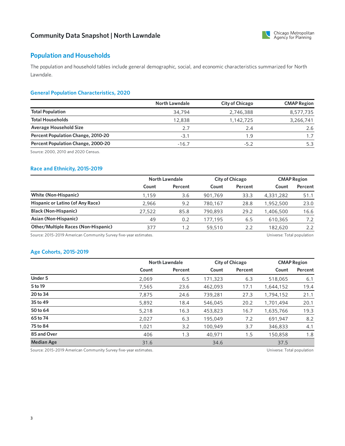

# **Population and Households**

The population and household tables include general demographic, social, and economic characteristics summarized for North Lawndale.

### **General Population Characteristics, 2020**

|                                           | <b>North Lawndale</b> | <b>City of Chicago</b> | <b>CMAP Region</b> |
|-------------------------------------------|-----------------------|------------------------|--------------------|
| <b>Total Population</b>                   | 34,794                | 2,746,388              | 8,577,735          |
| <b>Total Households</b>                   | 12,838                | 1,142,725              | 3,266,741          |
| <b>Average Household Size</b>             | 2.7                   | 2.4                    | 2.6                |
| <b>Percent Population Change, 2010-20</b> | $-3.1$                | 1.9                    |                    |
| Percent Population Change, 2000-20        | $-16.7$               | -52                    |                    |

Source: 2000, 2010 and 2020 Census.

### **Race and Ethnicity, 2015-2019**

|                                            | North Lawndale |         | <b>City of Chicago</b> |         | <b>CMAP Region</b> |         |
|--------------------------------------------|----------------|---------|------------------------|---------|--------------------|---------|
|                                            | Count          | Percent | Count                  | Percent | Count              | Percent |
| <b>White (Non-Hispanic)</b>                | 1.159          | 3.6     | 901.769                | 33.3    | 4,331,282          | 51.1    |
| Hispanic or Latino (of Any Race)           | 2.966          | 9.2     | 780.167                | 28.8    | 1,952,500          | 23.0    |
| <b>Black (Non-Hispanic)</b>                | 27,522         | 85.8    | 790,893                | 29.2    | 1,406,500          | 16.6    |
| Asian (Non-Hispanic)                       | 49             | 0.2     | 177.195                | 6.5     | 610,365            | 7.2     |
| <b>Other/Multiple Races (Non-Hispanic)</b> | 377            | 1.2     | 59,510                 | 2.2     | 182,620            | 2.2     |

Source: 2015-2019 American Community Survey five-year estimates. Universe: Total population

### **Age Cohorts, 2015-2019**

|                   |       | <b>North Lawndale</b> |         | <b>City of Chicago</b> |           | <b>CMAP Region</b> |  |
|-------------------|-------|-----------------------|---------|------------------------|-----------|--------------------|--|
|                   | Count | Percent               | Count   | Percent                | Count     | Percent            |  |
| <b>Under 5</b>    | 2,069 | 6.5                   | 171,323 | 6.3                    | 518,065   | 6.1                |  |
| 5 to 19           | 7,565 | 23.6                  | 462,093 | 17.1                   | 1,644,152 | 19.4               |  |
| 20 to 34          | 7.875 | 24.6                  | 739,281 | 27.3                   | 1,794,152 | 21.1               |  |
| 35 to 49          | 5,892 | 18.4                  | 546,045 | 20.2                   | 1,701,494 | 20.1               |  |
| 50 to 64          | 5,218 | 16.3                  | 453,823 | 16.7                   | 1,635,766 | 19.3               |  |
| 65 to 74          | 2,027 | 6.3                   | 195,049 | 7.2                    | 691.947   | 8.2                |  |
| 75 to 84          | 1,021 | 3.2                   | 100,949 | 3.7                    | 346,833   | 4.1                |  |
| 85 and Over       | 406   | 1.3                   | 40,971  | 1.5                    | 150,858   | 1.8                |  |
| <b>Median Age</b> | 31.6  |                       | 34.6    |                        | 37.5      |                    |  |

Source: 2015-2019 American Community Survey five-year estimates. Universe: Total population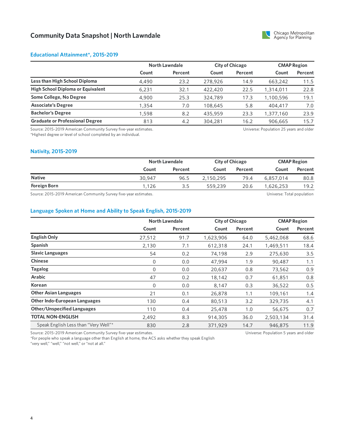

#### **Educational Attainment\*, 2015-2019**

|                                        | North Lawndale |         | <b>City of Chicago</b> |         | <b>CMAP Region</b> |         |
|----------------------------------------|----------------|---------|------------------------|---------|--------------------|---------|
|                                        | Count          | Percent | Count                  | Percent | Count              | Percent |
| Less than High School Diploma          | 4,490          | 23.2    | 278,926                | 14.9    | 663,242            | 11.5    |
| High School Diploma or Equivalent      | 6.231          | 32.1    | 422,420                | 22.5    | 1,314,011          | 22.8    |
| Some College, No Degree                | 4,900          | 25.3    | 324,789                | 17.3    | 1,100,596          | 19.1    |
| <b>Associate's Degree</b>              | 1,354          | 7.0     | 108,645                | 5.8     | 404,417            | 7.0     |
| <b>Bachelor's Degree</b>               | 1,598          | 8.2     | 435,959                | 23.3    | 1,377,160          | 23.9    |
| <b>Graduate or Professional Degree</b> | 813            | 4.2     | 304,281                | 16.2    | 906,665            | 15.7    |

Source: 2015-2019 American Community Survey five-year estimates. \*Highest degree or level of school completed by an individual.

Universe: Population 25 years and older

#### **Nativity, 2015-2019**

|                                                                   | <b>North Lawndale</b> |         | <b>City of Chicago</b> |         | <b>CMAP Region</b> |          |
|-------------------------------------------------------------------|-----------------------|---------|------------------------|---------|--------------------|----------|
|                                                                   | Count                 | Percent | Count                  | Percent | Count              | Percent  |
| <b>Native</b>                                                     | 30,947                | 96.5    | 2.150.295              | 79.4    | 6,857,014          | 80.8     |
| <b>Foreign Born</b>                                               | 1,126                 | 3.5     | 559,239                | 20.6    | 1,626,253          | 19.2     |
| $\sim$<br>$0.015$ $0.010$ $A$<br>$\sim$ $\sim$ $\sim$<br>$\cdots$ |                       |         |                        |         | .<br>$ -$          | $\cdots$ |

Source: 2015-2019 American Community Survey five-year estimates. Universe: Total population

### **Language Spoken at Home and Ability to Speak English, 2015-2019**

|                                                                  | <b>North Lawndale</b> |         | <b>City of Chicago</b> |         | <b>CMAP Region</b>                     |         |
|------------------------------------------------------------------|-----------------------|---------|------------------------|---------|----------------------------------------|---------|
|                                                                  | Count                 | Percent | Count                  | Percent | Count                                  | Percent |
| <b>English Only</b>                                              | 27,512                | 91.7    | 1,623,906              | 64.0    | 5,462,068                              | 68.6    |
| Spanish                                                          | 2,130                 | 7.1     | 612,318                | 24.1    | 1,469,511                              | 18.4    |
| <b>Slavic Languages</b>                                          | 54                    | 0.2     | 74,198                 | 2.9     | 275,630                                | 3.5     |
| <b>Chinese</b>                                                   | 0                     | 0.0     | 47,994                 | 1.9     | 90,487                                 | 1.1     |
| <b>Tagalog</b>                                                   | 0                     | 0.0     | 20,637                 | 0.8     | 73,562                                 | 0.9     |
| Arabic                                                           | 47                    | 0.2     | 18,142                 | 0.7     | 61,851                                 | 0.8     |
| Korean                                                           | 0                     | 0.0     | 8,147                  | 0.3     | 36,522                                 | 0.5     |
| <b>Other Asian Languages</b>                                     | 21                    | 0.1     | 26,878                 | 1.1     | 109,161                                | 1.4     |
| <b>Other Indo-European Languages</b>                             | 130                   | 0.4     | 80,513                 | 3.2     | 329,735                                | 4.1     |
| <b>Other/Unspecified Languages</b>                               | 110                   | 0.4     | 25,478                 | 1.0     | 56,675                                 | 0.7     |
| <b>TOTAL NON-ENGLISH</b>                                         | 2,492                 | 8.3     | 914,305                | 36.0    | 2,503,134                              | 31.4    |
| Speak English Less than "Very Well"*                             | 830                   | 2.8     | 371,929                | 14.7    | 946,875                                | 11.9    |
| Source: 2015-2019 American Community Survey five-year estimates. |                       |         |                        |         | Universe: Population 5 years and older |         |

Source: 2015-2019 American Community Survey five-year estimates.

\*For people who speak a language other than English at home, the ACS asks whether they speak English

"very well," "well," "not well," or "not at all."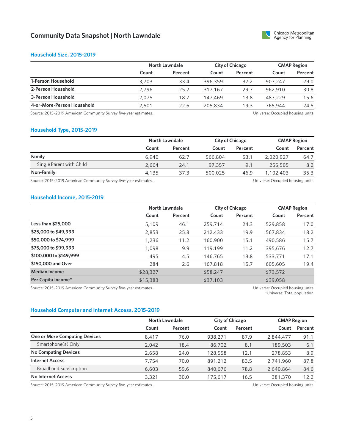

#### **Household Size, 2015-2019**

|                            |       | North Lawndale |         | City of Chicago |         | <b>CMAP Region</b> |  |
|----------------------------|-------|----------------|---------|-----------------|---------|--------------------|--|
|                            | Count | Percent        | Count   | Percent         | Count   | Percent            |  |
| 1-Person Household         | 3,703 | 33.4           | 396,359 | 37.2            | 907.247 | 29.0               |  |
| 2-Person Household         | 2.796 | 25.2           | 317.167 | 29.7            | 962,910 | 30.8               |  |
| 3-Person Household         | 2.075 | 18.7           | 147,469 | 13.8            | 487,229 | 15.6               |  |
| 4-or-More-Person Household | 2.501 | 22.6           | 205,834 | 19.3            | 765,944 | 24.5               |  |

Source: 2015-2019 American Community Survey five-year estimates. 
<br>
Source: 2015-2019 American Community Survey five-year estimates.

### **Household Type, 2015-2019**

|                          |       | North Lawndale |         | <b>City of Chicago</b> |           | <b>CMAP Region</b> |  |
|--------------------------|-------|----------------|---------|------------------------|-----------|--------------------|--|
|                          | Count | Percent        | Count   | Percent                | Count     | Percent            |  |
| Family                   | 6,940 | 62.7           | 566,804 | 53.1                   | 2.020.927 | 64.7               |  |
| Single Parent with Child | 2.664 | 24.1           | 97,357  | 9.1                    | 255,505   | 8.2                |  |
| Non-Family               | 4.135 | 37.3           | 500,025 | 46.9                   | 1,102,403 | 35.3               |  |
|                          |       |                |         |                        |           |                    |  |

Source: 2015-2019 American Community Survey five-year estimates. The material community Survey five-year estimates.

#### **Household Income, 2015-2019**

|                        |          | North Lawndale |          | <b>City of Chicago</b> |          | <b>CMAP Region</b> |  |
|------------------------|----------|----------------|----------|------------------------|----------|--------------------|--|
|                        | Count    | Percent        | Count    | Percent                | Count    | Percent            |  |
| Less than \$25,000     | 5,109    | 46.1           | 259,714  | 24.3                   | 529,858  | 17.0               |  |
| \$25,000 to \$49,999   | 2,853    | 25.8           | 212,433  | 19.9                   | 567,834  | 18.2               |  |
| \$50,000 to \$74,999   | 1,236    | 11.2           | 160,900  | 15.1                   | 490,586  | 15.7               |  |
| \$75,000 to \$99,999   | 1,098    | 9.9            | 119,199  | 11.2                   | 395,676  | 12.7               |  |
| \$100,000 to \$149,999 | 495      | 4.5            | 146,765  | 13.8                   | 533,771  | 17.1               |  |
| \$150,000 and Over     | 284      | 2.6            | 167,818  | 15.7                   | 605,605  | 19.4               |  |
| <b>Median Income</b>   | \$28,327 |                | \$58,247 |                        | \$73,572 |                    |  |
| Per Capita Income*     | \$15,383 |                | \$37,103 |                        | \$39,058 |                    |  |

Source: 2015-2019 American Community Survey five-year estimates. Universe: Occupied housing units

\*Universe: Total population

### **Household Computer and Internet Access, 2015-2019**

|                                      | North Lawndale |         |         | <b>City of Chicago</b> |           | <b>CMAP Region</b> |  |
|--------------------------------------|----------------|---------|---------|------------------------|-----------|--------------------|--|
|                                      | Count          | Percent | Count   | Percent                | Count     | Percent            |  |
| <b>One or More Computing Devices</b> | 8.417          | 76.0    | 938,271 | 87.9                   | 2,844,477 | 91.1               |  |
| Smartphone(s) Only                   | 2,042          | 18.4    | 86,702  | 8.1                    | 189,503   | 6.1                |  |
| <b>No Computing Devices</b>          | 2.658          | 24.0    | 128,558 | 12.1                   | 278,853   | 8.9                |  |
| <b>Internet Access</b>               | 7.754          | 70.0    | 891,212 | 83.5                   | 2,741,960 | 87.8               |  |
| <b>Broadband Subscription</b>        | 6,603          | 59.6    | 840,676 | 78.8                   | 2,640,864 | 84.6               |  |
| <b>No Internet Access</b>            | 3,321          | 30.0    | 175,617 | 16.5                   | 381,370   | 12.2               |  |

Source: 2015-2019 American Community Survey five-year estimates. The Mateur of the Mateus of the Universe: Occupied housing units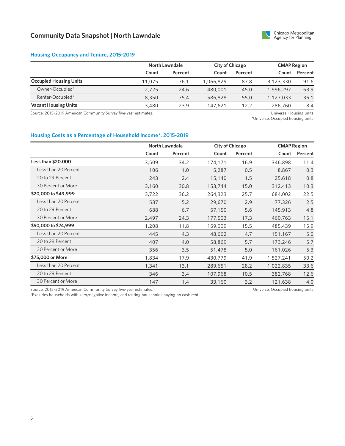

### **Housing Occupancy and Tenure, 2015-2019**

|                               | North Lawndale |         | <b>City of Chicago</b> |         | <b>CMAP Region</b> |         |
|-------------------------------|----------------|---------|------------------------|---------|--------------------|---------|
|                               | Count          | Percent | Count                  | Percent | Count              | Percent |
| <b>Occupied Housing Units</b> | 11.075         | 76.1    | 1,066,829              | 87.8    | 3,123,330          | 91.6    |
| Owner-Occupied*               | 2,725          | 24.6    | 480,001                | 45.0    | 1,996,297          | 63.9    |
| Renter-Occupied*              | 8,350          | 75.4    | 586,828                | 55.0    | 1,127,033          | 36.1    |
| <b>Vacant Housing Units</b>   | 3,480          | 23.9    | 147.621                | 12.2    | 286,760            | 8.4     |

Source: 2015-2019 American Community Survey five-year estimates. Universe: Housing units

\*Universe: Occupied housing units

#### **Housing Costs as a Percentage of Household Income\*, 2015-2019**

|                      |       | <b>North Lawndale</b> |         | <b>City of Chicago</b> |           | <b>CMAP Region</b> |  |
|----------------------|-------|-----------------------|---------|------------------------|-----------|--------------------|--|
|                      | Count | Percent               | Count   | Percent                | Count     | Percent            |  |
| Less than \$20,000   | 3,509 | 34.2                  | 174,171 | 16.9                   | 346,898   | 11.4               |  |
| Less than 20 Percent | 106   | 1.0                   | 5,287   | 0.5                    | 8,867     | 0.3                |  |
| 20 to 29 Percent     | 243   | 2.4                   | 15,140  | 1.5                    | 25,618    | 0.8                |  |
| 30 Percent or More   | 3,160 | 30.8                  | 153,744 | 15.0                   | 312,413   | 10.3               |  |
| \$20,000 to \$49,999 | 3,722 | 36.2                  | 264,323 | 25.7                   | 684,002   | 22.5               |  |
| Less than 20 Percent | 537   | 5.2                   | 29,670  | 2.9                    | 77,326    | 2.5                |  |
| 20 to 29 Percent     | 688   | 6.7                   | 57,150  | 5.6                    | 145,913   | 4.8                |  |
| 30 Percent or More   | 2,497 | 24.3                  | 177,503 | 17.3                   | 460,763   | 15.1               |  |
| \$50,000 to \$74,999 | 1,208 | 11.8                  | 159,009 | 15.5                   | 485,439   | 15.9               |  |
| Less than 20 Percent | 445   | 4.3                   | 48,662  | 4.7                    | 151,167   | 5.0                |  |
| 20 to 29 Percent     | 407   | 4.0                   | 58,869  | 5.7                    | 173,246   | 5.7                |  |
| 30 Percent or More   | 356   | 3.5                   | 51,478  | 5.0                    | 161,026   | 5.3                |  |
| \$75,000 or More     | 1,834 | 17.9                  | 430,779 | 41.9                   | 1,527,241 | 50.2               |  |
| Less than 20 Percent | 1,341 | 13.1                  | 289,651 | 28.2                   | 1,022,835 | 33.6               |  |
| 20 to 29 Percent     | 346   | 3.4                   | 107,968 | 10.5                   | 382,768   | 12.6               |  |
| 30 Percent or More   | 147   | 1.4                   | 33,160  | 3.2                    | 121,638   | 4.0                |  |

Source: 2015-2019 American Community Survey five-year estimates.

\*Excludes households with zero/negative income, and renting households paying no cash rent.

Universe: Occupied housing units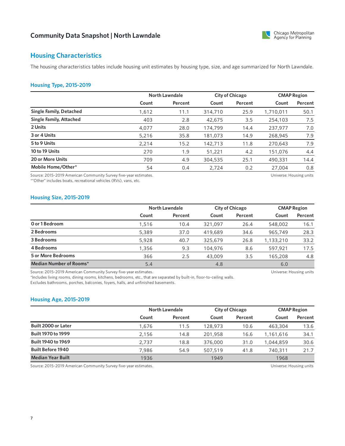

### **Housing Characteristics**

The housing characteristics tables include housing unit estimates by housing type, size, and age summarized for North Lawndale.

#### **Housing Type, 2015-2019**

|                                |       | North Lawndale |         | <b>City of Chicago</b> |           | <b>CMAP Region</b> |  |
|--------------------------------|-------|----------------|---------|------------------------|-----------|--------------------|--|
|                                | Count | Percent        | Count   | Percent                | Count     | Percent            |  |
| <b>Single Family, Detached</b> | 1,612 | 11.1           | 314,710 | 25.9                   | 1,710,011 | 50.1               |  |
| Single Family, Attached        | 403   | 2.8            | 42,675  | 3.5                    | 254,103   | 7.5                |  |
| 2 Units                        | 4,077 | 28.0           | 174,799 | 14.4                   | 237,977   | 7.0                |  |
| 3 or 4 Units                   | 5,216 | 35.8           | 181,073 | 14.9                   | 268,945   | 7.9                |  |
| 5 to 9 Units                   | 2,214 | 15.2           | 142,713 | 11.8                   | 270,643   | 7.9                |  |
| 10 to 19 Units                 | 270   | 1.9            | 51,221  | 4.2                    | 151,076   | 4.4                |  |
| 20 or More Units               | 709   | 4.9            | 304,535 | 25.1                   | 490,331   | 14.4               |  |
| Mobile Home/Other*             | 54    | 0.4            | 2,724   | 0.2                    | 27,004    | 0.8                |  |

Source: 2015-2019 American Community Survey five-year estimates.

\*"Other" includes boats, recreational vehicles (RVs), vans, etc.

Universe: Housing units

#### **Housing Size, 2015-2019**

|                           |       | North Lawndale |         | <b>City of Chicago</b> |           | <b>CMAP Region</b> |
|---------------------------|-------|----------------|---------|------------------------|-----------|--------------------|
|                           | Count | Percent        | Count   | Percent                | Count     | Percent            |
| O or 1 Bedroom            | 1,516 | 10.4           | 321.097 | 26.4                   | 548,002   | 16.1               |
| 2 Bedrooms                | 5,389 | 37.0           | 419,689 | 34.6                   | 965,749   | 28.3               |
| 3 Bedrooms                | 5,928 | 40.7           | 325,679 | 26.8                   | 1,133,210 | 33.2               |
| 4 Bedrooms                | 1,356 | 9.3            | 104,976 | 8.6                    | 597.921   | 17.5               |
| <b>5 or More Bedrooms</b> | 366   | 2.5            | 43,009  | 3.5                    | 165,208   | 4.8                |
| Median Number of Rooms*   | 5.4   |                | 4.8     |                        | 6.0       |                    |

Source: 2015-2019 American Community Survey five-year estimates.

\*Includes living rooms, dining rooms, kitchens, bedrooms, etc., that are separated by built-in, floor-to-ceiling walls. Excludes bathrooms, porches, balconies, foyers, halls, and unfinished basements.

#### **Housing Age, 2015-2019**

|                           |       | North Lawndale |         | City of Chicago |           | <b>CMAP Region</b> |  |
|---------------------------|-------|----------------|---------|-----------------|-----------|--------------------|--|
|                           | Count | Percent        | Count   | Percent         | Count     | Percent            |  |
| Built 2000 or Later       | 1.676 | 11.5           | 128,973 | 10.6            | 463,304   | 13.6               |  |
| <b>Built 1970 to 1999</b> | 2.156 | 14.8           | 201,958 | 16.6            | 1,161,616 | 34.1               |  |
| Built 1940 to 1969        | 2.737 | 18.8           | 376,000 | 31.0            | 1.044.859 | 30.6               |  |
| <b>Built Before 1940</b>  | 7.986 | 54.9           | 507,519 | 41.8            | 740,311   | 21.7               |  |
| <b>Median Year Built</b>  | 1936  |                | 1949    |                 | 1968      |                    |  |

Source: 2015-2019 American Community Survey five-year estimates. Universe: Housing units

Universe: Housing units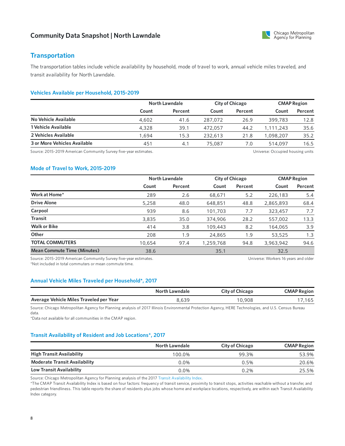

### **Transportation**

The transportation tables include vehicle availability by household, mode of travel to work, annual vehicle miles traveled, and transit availability for North Lawndale.

### **Vehicles Available per Household, 2015-2019**

|                              |       | North Lawndale |         | <b>City of Chicago</b> |           | <b>CMAP Region</b> |  |
|------------------------------|-------|----------------|---------|------------------------|-----------|--------------------|--|
|                              | Count | Percent        | Count   | Percent                | Count     | Percent            |  |
| No Vehicle Available         | 4,602 | 41.6           | 287.072 | 26.9                   | 399,783   | 12.8               |  |
| 1 Vehicle Available          | 4,328 | 39.1           | 472,057 | 44.2                   | 1,111,243 | 35.6               |  |
| 2 Vehicles Available         | 1.694 | 15.3           | 232,613 | 21.8                   | 1.098.207 | 35.2               |  |
| 3 or More Vehicles Available | 451   | 4.1            | 75,087  | 7.0                    | 514,097   | 16.5               |  |

Source: 2015-2019 American Community Survey five-year estimates. The material community Survey five-year estimates.

#### **Mode of Travel to Work, 2015-2019**

|                                                                  | <b>North Lawndale</b> |         |           | <b>City of Chicago</b> |                                      | <b>CMAP Region</b> |  |
|------------------------------------------------------------------|-----------------------|---------|-----------|------------------------|--------------------------------------|--------------------|--|
|                                                                  | Count                 | Percent | Count     | Percent                | Count                                | Percent            |  |
| Work at Home*                                                    | 289                   | 2.6     | 68,671    | 5.2                    | 226,183                              | 5.4                |  |
| <b>Drive Alone</b>                                               | 5,258                 | 48.0    | 648,851   | 48.8                   | 2,865,893                            | 68.4               |  |
| Carpool                                                          | 939                   | 8.6     | 101,703   | 7.7                    | 323,457                              | 7.7                |  |
| <b>Transit</b>                                                   | 3,835                 | 35.0    | 374,906   | 28.2                   | 557,002                              | 13.3               |  |
| <b>Walk or Bike</b>                                              | 414                   | 3.8     | 109,443   | 8.2                    | 164,065                              | 3.9                |  |
| Other                                                            | 208                   | 1.9     | 24,865    | 1.9                    | 53,525                               | 1.3                |  |
| <b>TOTAL COMMUTERS</b>                                           | 10,654                | 97.4    | 1,259,768 | 94.8                   | 3,963,942                            | 94.6               |  |
| <b>Mean Commute Time (Minutes)</b>                               | 38.6                  |         | 35.1      |                        | 32.5                                 |                    |  |
| Source: 2015-2019 American Community Survey five-year estimates. |                       |         |           |                        | Universe: Workers 16 years and older |                    |  |

\*Not included in total commuters or mean commute time.

Universe: Workers 16 years and older

### **Annual Vehicle Miles Traveled per Household\*, 2017**

|                                         | North Lawndale | City of Chicago | <b>CMAP Region</b> |
|-----------------------------------------|----------------|-----------------|--------------------|
| Average Vehicle Miles Traveled per Year | 8.639          | 10,908          | ,165               |

Source: Chicago Metropolitan Agency for Planning analysis of 2017 Illinois Environmental Protection Agency, HERE Technologies, and U.S. Census Bureau data.

\*Data not available for all communities in the CMAP region.

#### **Transit Availability of Resident and Job Locations\*, 2017**

|                                      | <b>North Lawndale</b> | <b>City of Chicago</b> | <b>CMAP Region</b> |
|--------------------------------------|-----------------------|------------------------|--------------------|
| <b>High Transit Availability</b>     | 100.0%                | 99.3%                  | 53.9%              |
| <b>Moderate Transit Availability</b> | $0.0\%$               | 0.5%                   | 20.6%              |
| Low Transit Availability             | $0.0\%$               | 0.2%                   | 25.5%              |

Source: Chicago Metropolitan Agency for Planning analysis of the 2017 Transit [Availability](https://datahub.cmap.illinois.gov/dataset/access-to-transit-index) Index.

\*The CMAP Transit Availability Index is based on four factors: frequency of transit service, proximity to transit stops, activities reachable without a transfer, and pedestrian friendliness. This table reports the share of residents plus jobs whose home and workplace locations, respectively, are within each Transit Availability Index category.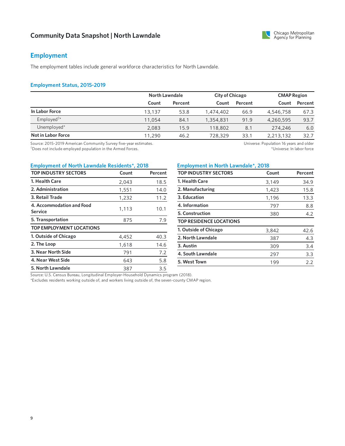### **Employment**

The employment tables include general workforce characteristics for North Lawndale.

#### **Employment Status, 2015-2019**

|                                           |        | North Lawndale | <b>City of Chicago</b> |         | <b>CMAP Region</b> |         |
|-------------------------------------------|--------|----------------|------------------------|---------|--------------------|---------|
|                                           | Count  | Percent        | Count                  | Percent | Count              | Percent |
| In Labor Force                            | 13,137 | 53.8           | 1,474,402              | 66.9    | 4,546,758          | 67.3    |
| Employed <sup><math>\dagger</math>*</sup> | 11,054 | 84.1           | 1,354,831              | 91.9    | 4,260,595          | 93.7    |
| Unemployed*                               | 2.083  | 15.9           | 118,802                | 8.1     | 274,246            | 6.0     |
| Not in Labor Force                        | 11,290 | 46.2           | 728,329                | 33.1    | 2,213,132          | 32.7    |

Source: 2015-2019 American Community Survey five-year estimates.  $\dagger$ Does not include employed population in the Armed Forces.

Universe: Population 16 years and older \*Universe: In labor force

### **Employment of North Lawndale Residents\*, 2018 Employment in North Lawndale\*, 2018**

| <b>TOP INDUSTRY SECTORS</b>                 | Count | Percent |
|---------------------------------------------|-------|---------|
| 1. Health Care                              | 2,043 | 18.5    |
| 2. Administration                           | 1,551 | 14.0    |
| 3. Retail Trade                             | 1,232 | 11.2    |
| 4. Accommodation and Food<br><b>Service</b> | 1,113 | 10.1    |
| 5. Transportation                           | 875   | 7.9     |
| <b>TOP EMPLOYMENT LOCATIONS</b>             |       |         |
| 1. Outside of Chicago                       | 4,452 | 40.3    |
| 2. The Loop                                 | 1,618 | 14.6    |
| 3. Near North Side                          | 791   | 7.2     |
| 4. Near West Side                           | 643   | 5.8     |
| 5. North Lawndale                           | 387   | 3.5     |

| <b>TOP INDUSTRY SECTORS</b> | Count | Percent |
|-----------------------------|-------|---------|
| 1. Health Care              | 3.149 | 34.9    |
| 2. Manufacturing            | 1,423 | 15.8    |
| 3. Education                | 1,196 | 13.3    |
| 4. Information              | 797   | 8.8     |
| <b>5. Construction</b>      | 380   | 42      |

| <b>TOP RESIDENCE LOCATIONS</b> |  |
|--------------------------------|--|
| 1. Outside of Chicago          |  |

| 1. Outside of Chicago | 3,842 | 42.6 |
|-----------------------|-------|------|
| 2. North Lawndale     | 387   | 4.3  |
| 3. Austin             | 309   | 3.4  |
| 4. South Lawndale     | 297   | 3.3  |
| 5. West Town          | 199   | フフ   |

Source: U.S. Census Bureau, Longitudinal Employer-Household Dynamics program (2018).

\*Excludes residents working outside of, and workers living outside of, the seven-county CMAP region.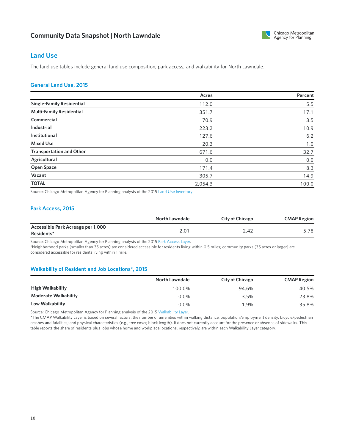

### **Land Use**

The land use tables include general land use composition, park access, and walkability for North Lawndale.

#### **GeneralLand Use, 2015**

|                                  | Acres   | Percent |
|----------------------------------|---------|---------|
| <b>Single-Family Residential</b> | 112.0   | 5.5     |
| <b>Multi-Family Residential</b>  | 351.7   | 17.1    |
| Commercial                       | 70.9    | 3.5     |
| <b>Industrial</b>                | 223.2   | 10.9    |
| <b>Institutional</b>             | 127.6   | 6.2     |
| <b>Mixed Use</b>                 | 20.3    | 1.0     |
| <b>Transportation and Other</b>  | 671.6   | 32.7    |
| Agricultural                     | 0.0     | 0.0     |
| <b>Open Space</b>                | 171.4   | 8.3     |
| Vacant                           | 305.7   | 14.9    |
| <b>TOTAL</b>                     | 2,054.3 | 100.0   |

Source: Chicago Metropolitan Agency for Planning analysis of the 2015 Land Use [Inventory](https://www.cmap.illinois.gov/data/land-use/inventory).

### **Park Access, 2015**

|                                                 | North Lawndale | <b>City of Chicago</b> | <b>CMAP Region</b> |
|-------------------------------------------------|----------------|------------------------|--------------------|
| Accessible Park Acreage per 1,000<br>Residents* | 2.01           | 2.42                   | 5.78               |

Source: Chicago Metropolitan Agency for Planning analysis of the 2015 Park [Access](https://www.cmap.illinois.gov/2050/maps/parks) Layer.

\*Neighborhood parks (smaller than 35 acres) are considered accessible for residents living within 0.5 miles; community parks (35 acres or larger) are considered accessible for residents living within 1 mile.

#### **Walkability of Resident and Job Locations\*, 2015**

|                             | North Lawndale | <b>City of Chicago</b> | <b>CMAP Region</b> |
|-----------------------------|----------------|------------------------|--------------------|
| <b>High Walkability</b>     | 100.0%         | 94.6%                  | 40.5%              |
| <b>Moderate Walkability</b> | $0.0\%$        | 3.5%                   | 23.8%              |
| Low Walkability             | $0.0\%$        | 1.9%                   | 35.8%              |

Source: Chicago Metropolitan Agency for Planning analysis of the 2015 [Walkability](https://www.cmap.illinois.gov/2050/maps/walkability) Layer.

\*The CMAP Walkability Layer is based on several factors: the number of amenities within walking distance; population/employment density; bicycle/pedestrian crashes and fatalities; and physical characteristics (e.g., tree cover, block length). It does not currently account for the presence or absence of sidewalks. This table reports the share of residents plus jobs whose home and workplace locations, respectively, are within each Walkability Layer category.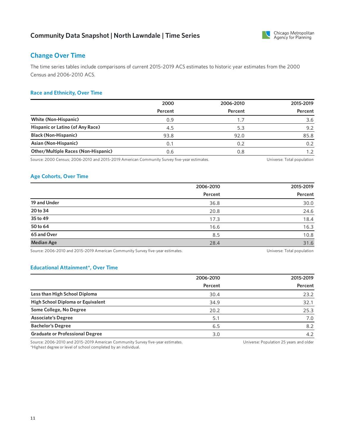

### **Change Over Time**

The time series tables include comparisons of current 2015-2019 ACS estimates to historicyear estimates from the 2000 Census and 2006-2010 ACS.

### **Race and Ethnicity, Over Time**

|                                            | 2000    | 2006-2010 | 2015-2019 |
|--------------------------------------------|---------|-----------|-----------|
|                                            | Percent | Percent   | Percent   |
| <b>White (Non-Hispanic)</b>                | 0.9     |           | 3.6       |
| Hispanic or Latino (of Any Race)           | 4.5     | 5.3       | 9.2       |
| <b>Black (Non-Hispanic)</b>                | 93.8    | 92.0      | 85.8      |
| Asian (Non-Hispanic)                       | 0.1     | 0.2       | 0.2       |
| <b>Other/Multiple Races (Non-Hispanic)</b> | 0.6     | 0.8       |           |

Source: 2000 Census; 2006-2010 and 2015-2019 American Community Survey five-year estimates. Universe: Total population

### **Age Cohorts, Over Time**

|                   | 2006-2010 | 2015-2019 |
|-------------------|-----------|-----------|
|                   | Percent   | Percent   |
| 19 and Under      | 36.8      | 30.0      |
| 20 to 34          | 20.8      | 24.6      |
| 35 to 49          | 17.3      | 18.4      |
| 50 to 64          | 16.6      | 16.3      |
| 65 and Over       | 8.5       | 10.8      |
| <b>Median Age</b> | 28.4      | 31.6      |

Source: 2006-2010 and 2015-2019 American Community Survey five-year estimates. 
Universe: Total population
Universe: Total population

#### **Educational Attainment\*, Over Time**

|                                        | 2006-2010 | 2015-2019 |
|----------------------------------------|-----------|-----------|
|                                        | Percent   | Percent   |
| Less than High School Diploma          | 30.4      | 23.2      |
| High School Diploma or Equivalent      | 34.9      | 32.1      |
| Some College, No Degree                | 20.2      | 25.3      |
| <b>Associate's Degree</b>              | 5.1       | 7.0       |
| <b>Bachelor's Degree</b>               | 6.5       | 8.2       |
| <b>Graduate or Professional Degree</b> | 3.0       | 4.2       |

Source: 2006-2010 and 2015-2019 American Community Survey five-year estimates. \*Highest degree or level of school completed by an individual.

Universe: Population 25 years and older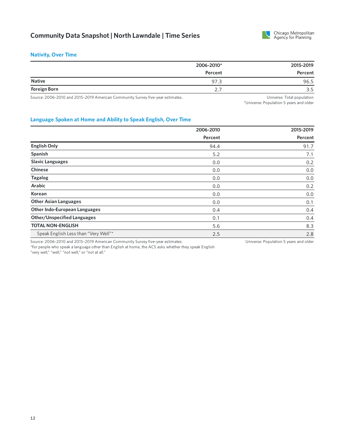

#### **Nativity, Over Time**

| 2006-2010* | 2015-2019 |
|------------|-----------|
| Percent    | Percent   |
| 97.3       | 96.5      |
| <u>.</u>   | 3.5       |
|            |           |

Source: 2006-2010 and 2015-2019 American Community Survey five-year estimates. 
Universe: Total population
Universe: Total population

\*Universe: Population 5 years and older

### **Language Spoken at Home and Ability to Speak English, Over Time**

|                                                                                | 2006-2010 | 2015-2019                              |
|--------------------------------------------------------------------------------|-----------|----------------------------------------|
|                                                                                | Percent   | Percent                                |
| <b>English Only</b>                                                            | 94.4      | 91.7                                   |
| Spanish                                                                        | 5.2       | 7.1                                    |
| <b>Slavic Languages</b>                                                        | 0.0       | 0.2                                    |
| <b>Chinese</b>                                                                 | 0.0       | 0.0                                    |
| <b>Tagalog</b>                                                                 | 0.0       | 0.0                                    |
| <b>Arabic</b>                                                                  | 0.0       | 0.2                                    |
| Korean                                                                         | 0.0       | 0.0                                    |
| <b>Other Asian Languages</b>                                                   | 0.0       | 0.1                                    |
| <b>Other Indo-European Languages</b>                                           | 0.4       | 0.4                                    |
| <b>Other/Unspecified Languages</b>                                             | 0.1       | 0.4                                    |
| <b>TOTAL NON-ENGLISH</b>                                                       | 5.6       | 8.3                                    |
| Speak English Less than "Very Well"*                                           | 2.5       | 2.8                                    |
| Source: 2006-2010 and 2015-2019 American Community Survey five-year estimates. |           | Universe: Population 5 years and older |

\*For people who speak a language other than English at home, the ACS asks whether they speak English "very well," "well," "not well," or "not at all."

12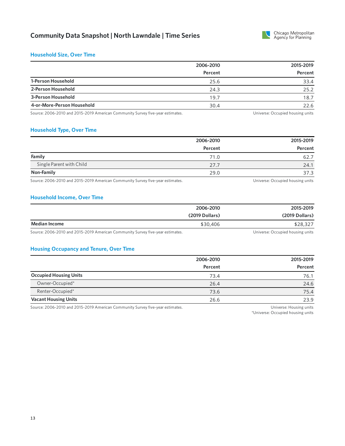

#### **Household Size, Over Time**

|                            | 2006-2010 | 2015-2019 |
|----------------------------|-----------|-----------|
|                            | Percent   | Percent   |
| 1-Person Household         | 25.6      | 33.4      |
| 2-Person Household         | 24.3      | 25.2      |
| 3-Person Household         | 19.7      | 18.7      |
| 4-or-More-Person Household | 30.4      | 22.6      |

Source: 2006-2010 and 2015-2019 American Community Survey five-year estimates. The Manusculi Community Survey five-year estimates.

#### **Household Type, Over Time**

|                                                                                       | 2006-2010 | 2015-2019                                                                                                                                                                                                                        |
|---------------------------------------------------------------------------------------|-----------|----------------------------------------------------------------------------------------------------------------------------------------------------------------------------------------------------------------------------------|
|                                                                                       | Percent   | Percent                                                                                                                                                                                                                          |
| Family                                                                                | 71.0      | 62.7                                                                                                                                                                                                                             |
| Single Parent with Child                                                              | 27.7      | 24.1                                                                                                                                                                                                                             |
| Non-Family                                                                            | 29.0      | 37.3                                                                                                                                                                                                                             |
| التارين المالية المستحدث والمتمر والمتماس والمحمد المستحدث المستحدث المستحدث المستحدث |           | $\cdots$ . The contract of the contract of the contract of the contract of the contract of the contract of the contract of the contract of the contract of the contract of the contract of the contract of the contract of the c |

Source: 2006-2010 and 2015-2019 American Community Survey five-year estimates. The Manuscription of the Universe: Occupied housing units

#### **Household Income, Over Time**

|               | 2006-2010      | 2015-2019      |
|---------------|----------------|----------------|
|               | (2019 Dollars) | (2019 Dollars) |
| Median Income | \$30,406       | \$28,327       |

Source: 2006-2010 and 2015-2019 American Community Survey five-year estimates. 
Universe: Occupied housing units

#### **Housing Occupancy and Tenure, Over Time**

|                               | 2006-2010 | 2015-2019 |
|-------------------------------|-----------|-----------|
|                               | Percent   | Percent   |
| <b>Occupied Housing Units</b> | 73.4      | 76.1      |
| Owner-Occupied*               | 26.4      | 24.6      |
| Renter-Occupied*              | 73.6      | 75.4      |
| <b>Vacant Housing Units</b>   | 26.6      | 23.9      |

Source: 2006-2010 and 2015-2019 American Community Survey five-year estimates. The material community Survey five-year estimates.

\*Universe: Occupied housing units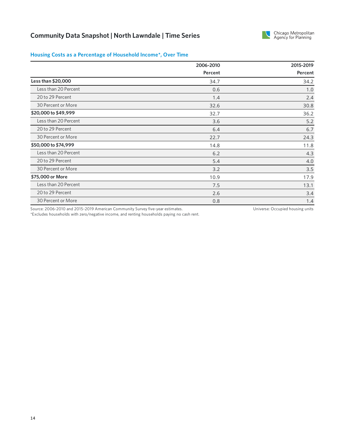

### **Housing Costs as a Percentage of Household Income\*, Over Time**

|                      | 2006-2010 | 2015-2019 |
|----------------------|-----------|-----------|
|                      | Percent   | Percent   |
| Less than \$20,000   | 34.7      | 34.2      |
| Less than 20 Percent | 0.6       | 1.0       |
| 20 to 29 Percent     | 1.4       | 2.4       |
| 30 Percent or More   | 32.6      | 30.8      |
| \$20,000 to \$49,999 | 32.7      | 36.2      |
| Less than 20 Percent | 3.6       | $5.2$     |
| 20 to 29 Percent     | 6.4       | 6.7       |
| 30 Percent or More   | 22.7      | 24.3      |
| \$50,000 to \$74,999 | 14.8      | 11.8      |
| Less than 20 Percent | 6.2       | 4.3       |
| 20 to 29 Percent     | 5.4       | 4.0       |
| 30 Percent or More   | 3.2       | 3.5       |
| \$75,000 or More     | 10.9      | 17.9      |
| Less than 20 Percent | 7.5       | 13.1      |
| 20 to 29 Percent     | 2.6       | 3.4       |
| 30 Percent or More   | 0.8       | 1.4       |

Source: 2006-2010 and 2015-2019 American Community Survey five-year estimates.

Universe: Occupied housing units

\*Excludes households with zero/negative income, and renting households paying no cash rent.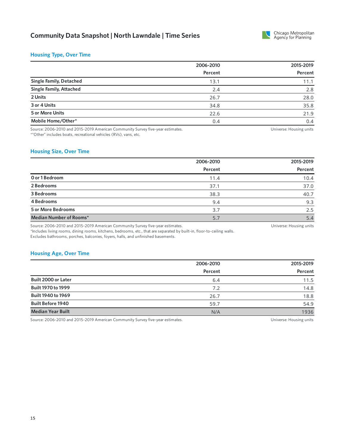

#### **Housing Type, Over Time**

|                                | 2006-2010 | 2015-2019 |  |
|--------------------------------|-----------|-----------|--|
|                                | Percent   | Percent   |  |
| <b>Single Family, Detached</b> | 13.1      | 11.1      |  |
| <b>Single Family, Attached</b> | 2.4       | 2.8       |  |
| 2 Units                        | 26.7      | 28.0      |  |
| 3 or 4 Units                   | 34.8      | 35.8      |  |
| 5 or More Units                | 22.6      | 21.9      |  |
| Mobile Home/Other*             | 0.4       | 0.4       |  |

Source: 2006-2010 and 2015-2019 American Community Survey five-year estimates. \*"Other" includes boats, recreational vehicles (RVs), vans, etc.

Universe: Housing units

#### **Housing Size, Over Time**

|                           | 2006-2010 | 2015-2019 |
|---------------------------|-----------|-----------|
|                           | Percent   | Percent   |
| O or 1 Bedroom            | 11.4      | 10.4      |
| 2 Bedrooms                | 37.1      | 37.0      |
| 3 Bedrooms                | 38.3      | 40.7      |
| 4 Bedrooms                | 9.4       | 9.3       |
| <b>5 or More Bedrooms</b> | 3.7       | 2.5       |
| Median Number of Rooms*   | 5.7       | 5.4       |

Source: 2006-2010 and 2015-2019 American Community Survey five-year estimates.

Universe: Housing units

\*Includes living rooms, dining rooms, kitchens, bedrooms, etc., that are separated by built-in, floor-to-ceiling walls. Excludes bathrooms, porches, balconies, foyers, halls, and unfinished basements.

#### **Housing Age, Over Time**

|                           | 2006-2010 | 2015-2019 |
|---------------------------|-----------|-----------|
|                           | Percent   | Percent   |
| Built 2000 or Later       | 6.4       | 11.5      |
| <b>Built 1970 to 1999</b> | 7.2       | 14.8      |
| Built 1940 to 1969        | 26.7      | 18.8      |
| <b>Built Before 1940</b>  | 59.7      | 54.9      |
| <b>Median Year Built</b>  | N/A       | 1936      |

Source: 2006-2010 and 2015-2019 American Community Survey five-year estimates. 
Universe: Housing units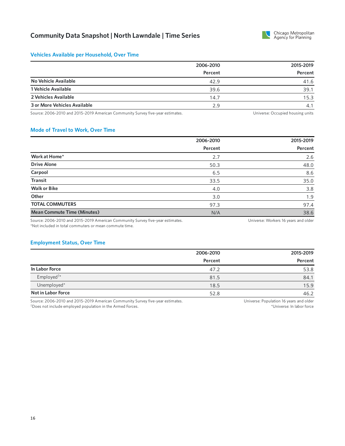

#### **Vehicles Available per Household, Over Time**

|                              | 2006-2010 | 2015-2019 |
|------------------------------|-----------|-----------|
|                              | Percent   | Percent   |
| No Vehicle Available         | 42.9      | 41.6      |
| 1 Vehicle Available          | 39.6      | 39.1      |
| 2 Vehicles Available         | 14.7      | 15.3      |
| 3 or More Vehicles Available | 2.9       | 4.1       |

Source: 2006-2010 and 2015-2019 American Community Survey five-year estimates. 
Universe: Occupied housing units

### **Mode of Travel to Work, Over Time**

|                                    | 2006-2010 | 2015-2019 |  |
|------------------------------------|-----------|-----------|--|
|                                    | Percent   | Percent   |  |
| Work at Home*                      | 2.7       | 2.6       |  |
| <b>Drive Alone</b>                 | 50.3      | 48.0      |  |
| Carpool                            | 6.5       | 8.6       |  |
| <b>Transit</b>                     | 33.5      | 35.0      |  |
| <b>Walk or Bike</b>                | 4.0       | 3.8       |  |
| Other                              | 3.0       | 1.9       |  |
| <b>TOTAL COMMUTERS</b>             | 97.3      | 97.4      |  |
| <b>Mean Commute Time (Minutes)</b> | N/A       | 38.6      |  |

Source: 2006-2010 and 2015-2019 American Community Survey five-year estimates. \*Not included in total commuters or mean commute time.

#### Universe: Workers 16 years and older

#### **Employment Status, Over Time**

|                           | 2006-2010 | 2015-2019 |
|---------------------------|-----------|-----------|
|                           | Percent   | Percent   |
| In Labor Force            | 47.2      | 53.8      |
| Employed <sup>†*</sup>    | 81.5      | 84.1      |
| Unemployed*               | 18.5      | 15.9      |
| <b>Not in Labor Force</b> | 52.8      | 46.2      |

Source: 2006-2010 and 2015-2019 American Community Survey five-year estimates. Does not include employed population in the Armed Forces. †

Universe: Population 16 years and older \*Universe: In labor force